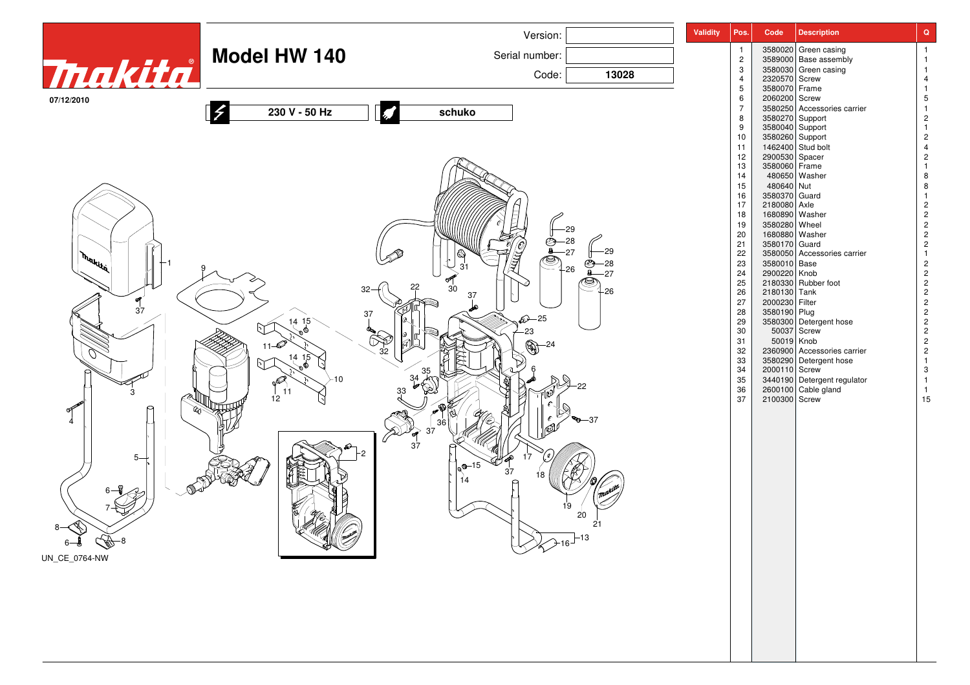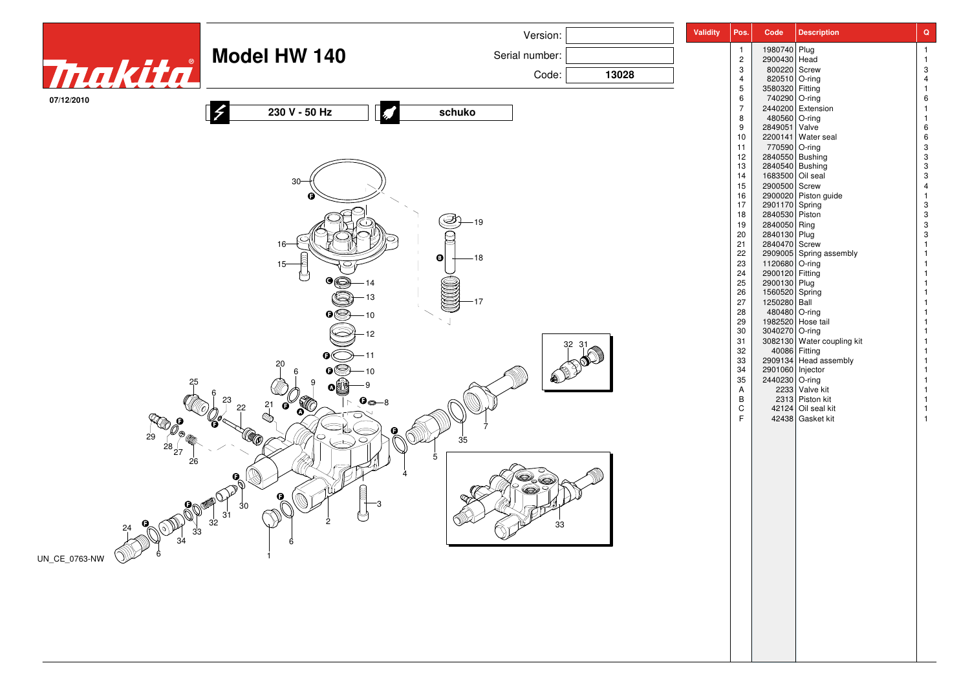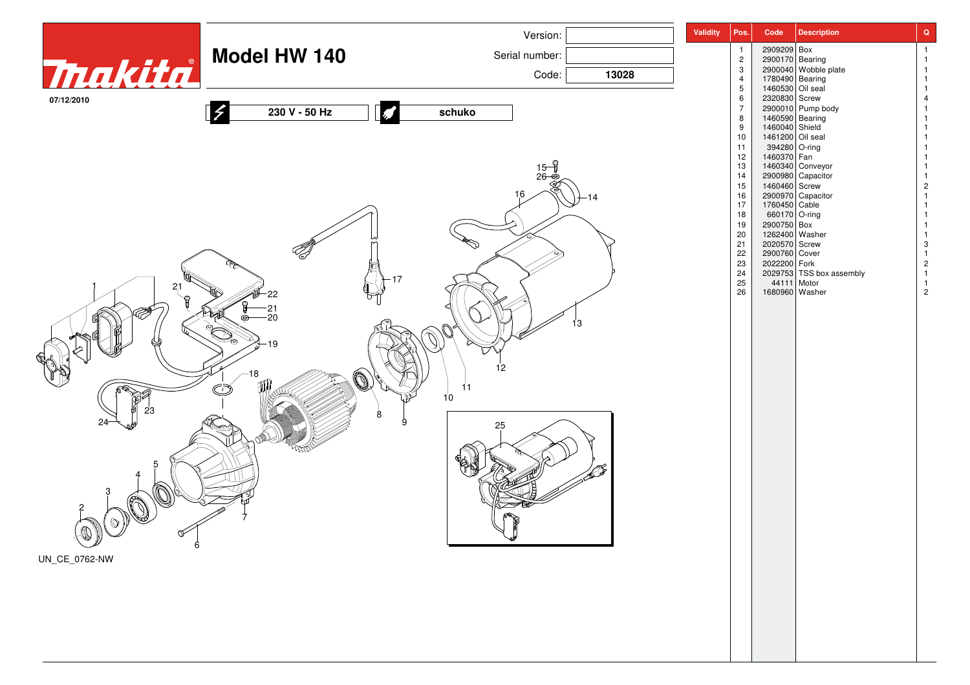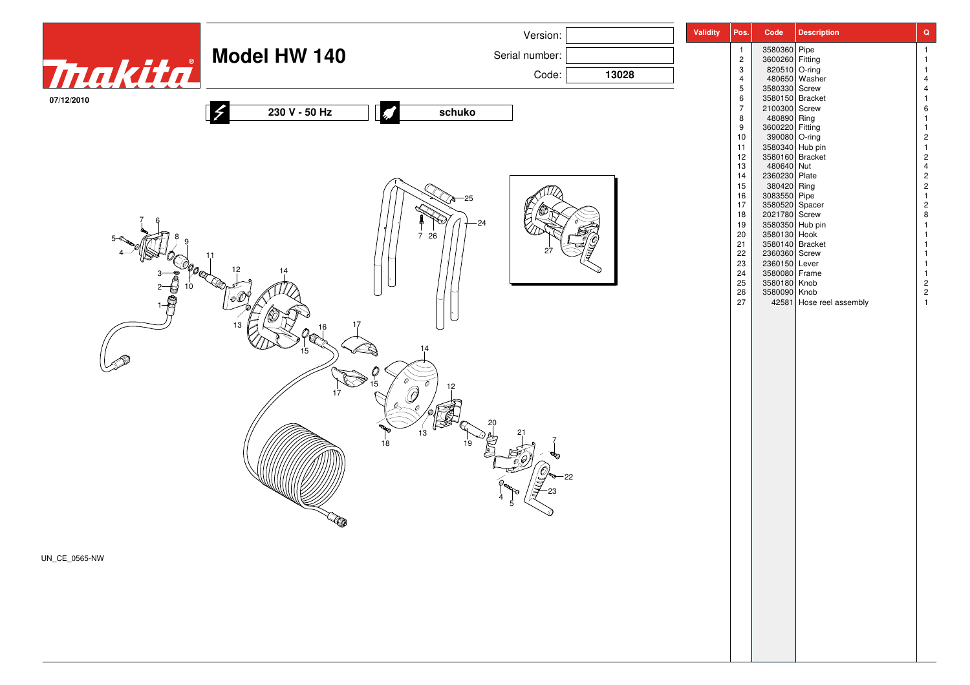![](_page_3_Picture_0.jpeg)